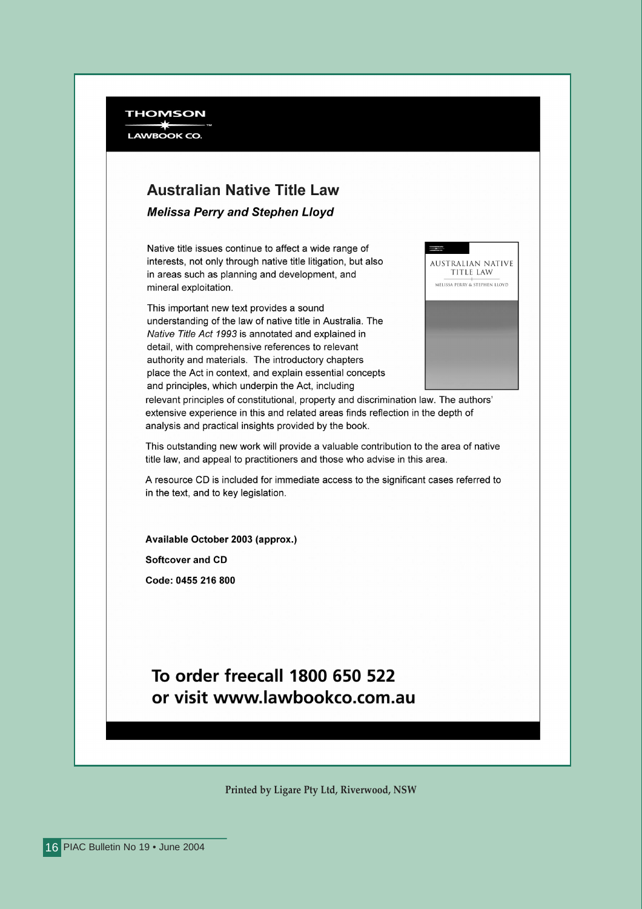**THOMSON LAWBOOK CO** 

### **Australian Native Title Law**

**Melissa Perry and Stephen Lloyd** 

Native title issues continue to affect a wide range of interests, not only through native title litigation, but also in areas such as planning and development, and mineral exploitation.

This important new text provides a sound understanding of the law of native title in Australia. The Native Title Act 1993 is annotated and explained in detail, with comprehensive references to relevant authority and materials. The introductory chapters place the Act in context, and explain essential concepts and principles, which underpin the Act, including



relevant principles of constitutional, property and discrimination law. The authors' extensive experience in this and related areas finds reflection in the depth of analysis and practical insights provided by the book.

This outstanding new work will provide a valuable contribution to the area of native title law, and appeal to practitioners and those who advise in this area.

A resource CD is included for immediate access to the significant cases referred to in the text, and to key legislation.

Available October 2003 (approx.) **Softcover and CD** Code: 0455 216 800

### To order freecall 1800 650 522 or visit www.lawbookco.com.au

Printed by Ligare Pty Ltd, Riverwood, NSW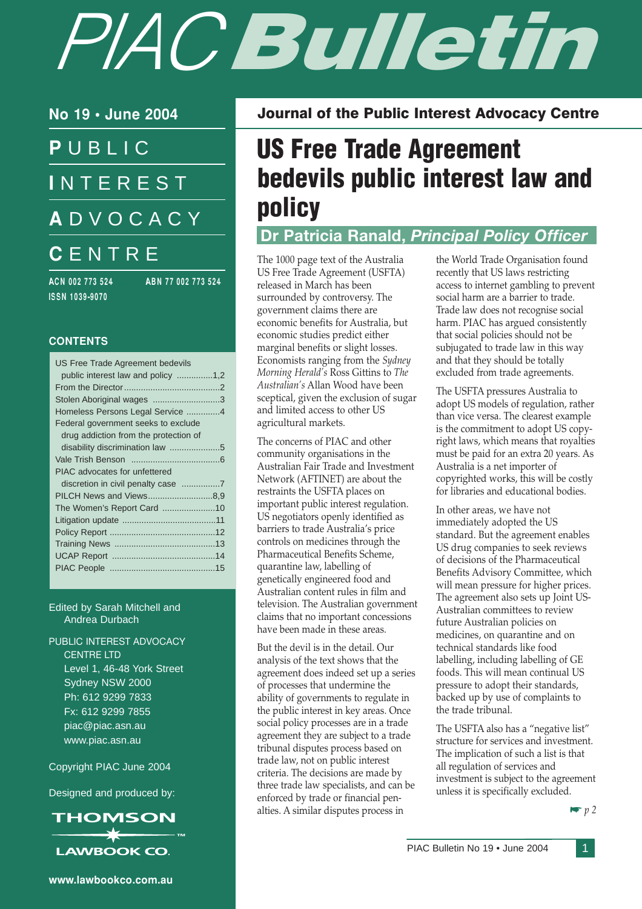# PIACBulletin

No 19 • June 2004

P UBLIC **INTEREST** A DVOCACY **CENTRE** 

ACN 002 773 524 ABN 77 002 773 524 ISSN 1039-9070

#### **CONTENTS**

| US Free Trade Agreement bedevils      |  |
|---------------------------------------|--|
| public interest law and policy 1,2    |  |
|                                       |  |
| Stolen Aboriginal wages 3             |  |
| Homeless Persons Legal Service 4      |  |
| Federal government seeks to exclude   |  |
| drug addiction from the protection of |  |
|                                       |  |
|                                       |  |
| PIAC advocates for unfettered         |  |
|                                       |  |
| PILCH News and Views8,9               |  |
| The Women's Report Card 10            |  |
|                                       |  |
|                                       |  |
|                                       |  |
|                                       |  |
|                                       |  |
|                                       |  |

Edited by Sarah Mitchell and Andrea Durbach

PUBLIC INTEREST ADVOCACY CENTRE LTD Level 1, 46-48 York Street Sydney NSW 2000 Ph: 612 9299 7833 Fx: 612 9299 7855 piac@piac.asn.au www.piac.asn.au

Copyright PIAC June 2004

Designed and produced by:



# US Free Trade Agreement bedevils public interest law and policy

Journal of the Public Interest Advocacy Centre

### Dr Patricia Ranald, Principal Policy Officer

The 1000 page text of the Australia US Free Trade Agreement (USFTA) released in March has been surrounded by controversy. The government claims there are economic benefits for Australia, but economic studies predict either marginal benefits or slight losses. Economists ranging from the Sydney Morning Herald's Ross Gittins to The Australian's Allan Wood have been sceptical, given the exclusion of sugar and limited access to other US agricultural markets.

The concerns of PIAC and other community organisations in the Australian Fair Trade and Investment Network (AFTINET) are about the restraints the USFTA places on important public interest regulation. US negotiators openly identified as barriers to trade Australia's price controls on medicines through the Pharmaceutical Benefits Scheme, quarantine law, labelling of genetically engineered food and Australian content rules in film and television. The Australian government claims that no important concessions have been made in these areas.

But the devil is in the detail. Our analysis of the text shows that the agreement does indeed set up a series of processes that undermine the ability of governments to regulate in the public interest in key areas. Once social policy processes are in a trade agreement they are subject to a trade tribunal disputes process based on trade law, not on public interest criteria. The decisions are made by three trade law specialists, and can be enforced by trade or financial penalties. A similar disputes process in

the World Trade Organisation found recently that US laws restricting access to internet gambling to prevent social harm are a barrier to trade. Trade law does not recognise social harm. PIAC has argued consistently that social policies should not be subjugated to trade law in this way and that they should be totally excluded from trade agreements.

The USFTA pressures Australia to adopt US models of regulation, rather than vice versa. The clearest example is the commitment to adopt US copyright laws, which means that royalties must be paid for an extra 20 years. As Australia is a net importer of copyrighted works, this will be costly for libraries and educational bodies.

In other areas, we have not immediately adopted the US standard. But the agreement enables US drug companies to seek reviews of decisions of the Pharmaceutical Benefits Advisory Committee, which will mean pressure for higher prices. The agreement also sets up Joint US-Australian committees to review future Australian policies on medicines, on quarantine and on technical standards like food labelling, including labelling of GE foods. This will mean continual US pressure to adopt their standards, backed up by use of complaints to the trade tribunal.

The USFTA also has a "negative list" structure for services and investment. The implication of such a list is that all regulation of services and investment is subject to the agreement unless it is specifically excluded.



www.lawbookco.com.au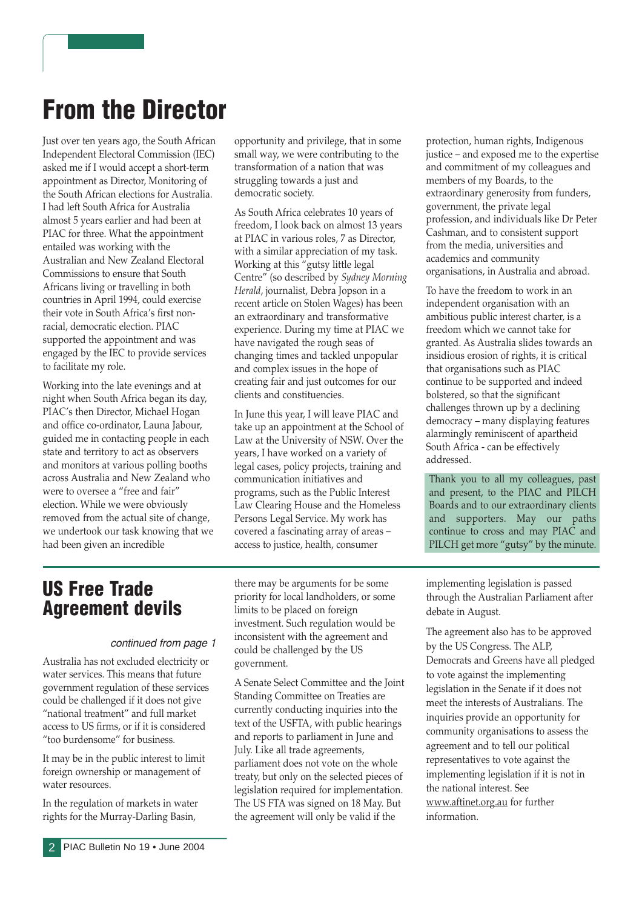# From the Director

Just over ten years ago, the South African Independent Electoral Commission (IEC) asked me if I would accept a short-term appointment as Director, Monitoring of the South African elections for Australia. I had left South Africa for Australia almost 5 years earlier and had been at PIAC for three. What the appointment entailed was working with the Australian and New Zealand Electoral Commissions to ensure that South Africans living or travelling in both countries in April 1994, could exercise their vote in South Africa's first nonracial, democratic election. PIAC supported the appointment and was engaged by the IEC to provide services to facilitate my role.

Working into the late evenings and at night when South Africa began its day, PIAC's then Director, Michael Hogan and office co-ordinator, Launa Jabour, guided me in contacting people in each state and territory to act as observers and monitors at various polling booths across Australia and New Zealand who were to oversee a "free and fair" election. While we were obviously removed from the actual site of change, we undertook our task knowing that we had been given an incredible

opportunity and privilege, that in some small way, we were contributing to the transformation of a nation that was struggling towards a just and democratic society.

As South Africa celebrates 10 years of freedom, I look back on almost 13 years at PIAC in various roles, 7 as Director, with a similar appreciation of my task. Working at this "gutsy little legal Centre" (so described by Sydney Morning Herald, journalist, Debra Jopson in a recent article on Stolen Wages) has been an extraordinary and transformative experience. During my time at PIAC we have navigated the rough seas of changing times and tackled unpopular and complex issues in the hope of creating fair and just outcomes for our clients and constituencies.

In June this year, I will leave PIAC and take up an appointment at the School of Law at the University of NSW. Over the years, I have worked on a variety of legal cases, policy projects, training and communication initiatives and programs, such as the Public Interest Law Clearing House and the Homeless Persons Legal Service. My work has covered a fascinating array of areas – access to justice, health, consumer

US Free Trade Agreement devils

#### continued from page 1

Australia has not excluded electricity or water services. This means that future government regulation of these services could be challenged if it does not give "national treatment" and full market access to US firms, or if it is considered "too burdensome" for business.

It may be in the public interest to limit foreign ownership or management of water resources.

In the regulation of markets in water rights for the Murray-Darling Basin,

there may be arguments for be some priority for local landholders, or some limits to be placed on foreign investment. Such regulation would be inconsistent with the agreement and could be challenged by the US government.

A Senate Select Committee and the Joint Standing Committee on Treaties are currently conducting inquiries into the text of the USFTA, with public hearings and reports to parliament in June and July. Like all trade agreements, parliament does not vote on the whole treaty, but only on the selected pieces of legislation required for implementation. The US FTA was signed on 18 May. But the agreement will only be valid if the

protection, human rights, Indigenous justice – and exposed me to the expertise and commitment of my colleagues and members of my Boards, to the extraordinary generosity from funders, government, the private legal profession, and individuals like Dr Peter Cashman, and to consistent support from the media, universities and academics and community organisations, in Australia and abroad.

To have the freedom to work in an independent organisation with an ambitious public interest charter, is a freedom which we cannot take for granted. As Australia slides towards an insidious erosion of rights, it is critical that organisations such as PIAC continue to be supported and indeed bolstered, so that the significant challenges thrown up by a declining democracy – many displaying features alarmingly reminiscent of apartheid South Africa - can be effectively addressed.

Thank you to all my colleagues, past and present, to the PIAC and PILCH Boards and to our extraordinary clients and supporters. May our paths continue to cross and may PIAC and PILCH get more "gutsy" by the minute.

implementing legislation is passed through the Australian Parliament after debate in August.

The agreement also has to be approved by the US Congress. The ALP, Democrats and Greens have all pledged to vote against the implementing legislation in the Senate if it does not meet the interests of Australians. The inquiries provide an opportunity for community organisations to assess the agreement and to tell our political representatives to vote against the implementing legislation if it is not in the national interest. See www.aftinet.org.au for further information.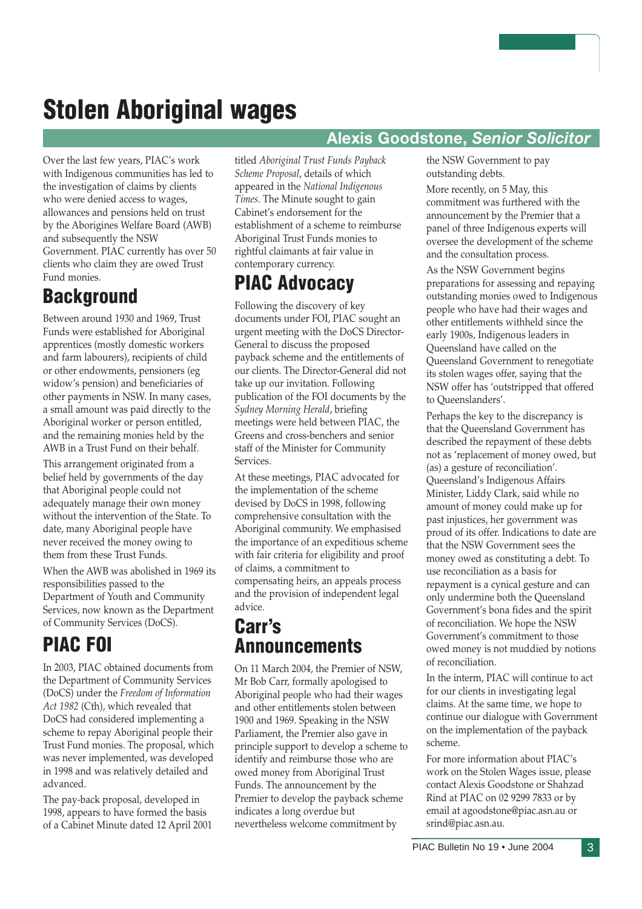# Stolen Aboriginal wages

Over the last few years, PIAC's work with Indigenous communities has led to the investigation of claims by clients who were denied access to wages, allowances and pensions held on trust by the Aborigines Welfare Board (AWB) and subsequently the NSW Government. PIAC currently has over 50 clients who claim they are owed Trust Fund monies.

### **Background**

Between around 1930 and 1969, Trust Funds were established for Aboriginal apprentices (mostly domestic workers and farm labourers), recipients of child or other endowments, pensioners (eg widow's pension) and beneficiaries of other payments in NSW. In many cases, a small amount was paid directly to the Aboriginal worker or person entitled, and the remaining monies held by the AWB in a Trust Fund on their behalf.

This arrangement originated from a belief held by governments of the day that Aboriginal people could not adequately manage their own money without the intervention of the State. To date, many Aboriginal people have never received the money owing to them from these Trust Funds.

When the AWB was abolished in 1969 its responsibilities passed to the Department of Youth and Community Services, now known as the Department of Community Services (DoCS).

# PIAC FOI

In 2003, PIAC obtained documents from the Department of Community Services (DoCS) under the Freedom of Information Act 1982 (Cth), which revealed that DoCS had considered implementing a scheme to repay Aboriginal people their Trust Fund monies. The proposal, which was never implemented, was developed in 1998 and was relatively detailed and advanced.

The pay-back proposal, developed in 1998, appears to have formed the basis of a Cabinet Minute dated 12 April 2001 titled Aboriginal Trust Funds Payback Scheme Proposal, details of which appeared in the National Indigenous Times. The Minute sought to gain Cabinet's endorsement for the establishment of a scheme to reimburse Aboriginal Trust Funds monies to rightful claimants at fair value in contemporary currency.

## PIAC Advocacy

Following the discovery of key documents under FOI, PIAC sought an urgent meeting with the DoCS Director-General to discuss the proposed payback scheme and the entitlements of our clients. The Director-General did not take up our invitation. Following publication of the FOI documents by the Sydney Morning Herald, briefing meetings were held between PIAC, the Greens and cross-benchers and senior staff of the Minister for Community Services.

At these meetings, PIAC advocated for the implementation of the scheme devised by DoCS in 1998, following comprehensive consultation with the Aboriginal community. We emphasised the importance of an expeditious scheme with fair criteria for eligibility and proof of claims, a commitment to compensating heirs, an appeals process and the provision of independent legal advice.

### Carr's Announcements

On 11 March 2004, the Premier of NSW, Mr Bob Carr, formally apologised to Aboriginal people who had their wages and other entitlements stolen between 1900 and 1969. Speaking in the NSW Parliament, the Premier also gave in principle support to develop a scheme to identify and reimburse those who are owed money from Aboriginal Trust Funds. The announcement by the Premier to develop the payback scheme indicates a long overdue but nevertheless welcome commitment by

#### Alexis Goodstone, Senior Solicitor

the NSW Government to pay outstanding debts.

More recently, on 5 May, this commitment was furthered with the announcement by the Premier that a panel of three Indigenous experts will oversee the development of the scheme and the consultation process.

As the NSW Government begins preparations for assessing and repaying outstanding monies owed to Indigenous people who have had their wages and other entitlements withheld since the early 1900s, Indigenous leaders in Queensland have called on the Queensland Government to renegotiate its stolen wages offer, saying that the NSW offer has 'outstripped that offered to Queenslanders'.

Perhaps the key to the discrepancy is that the Queensland Government has described the repayment of these debts not as 'replacement of money owed, but (as) a gesture of reconciliation'. Queensland's Indigenous Affairs Minister, Liddy Clark, said while no amount of money could make up for past injustices, her government was proud of its offer. Indications to date are that the NSW Government sees the money owed as constituting a debt. To use reconciliation as a basis for repayment is a cynical gesture and can only undermine both the Queensland Government's bona fides and the spirit of reconciliation. We hope the NSW Government's commitment to those owed money is not muddied by notions of reconciliation.

In the interm, PIAC will continue to act for our clients in investigating legal claims. At the same time, we hope to continue our dialogue with Government on the implementation of the payback scheme.

For more information about PIAC's work on the Stolen Wages issue, please contact Alexis Goodstone or Shahzad Rind at PIAC on 02 9299 7833 or by email at agoodstone@piac.asn.au or srind@piac.asn.au.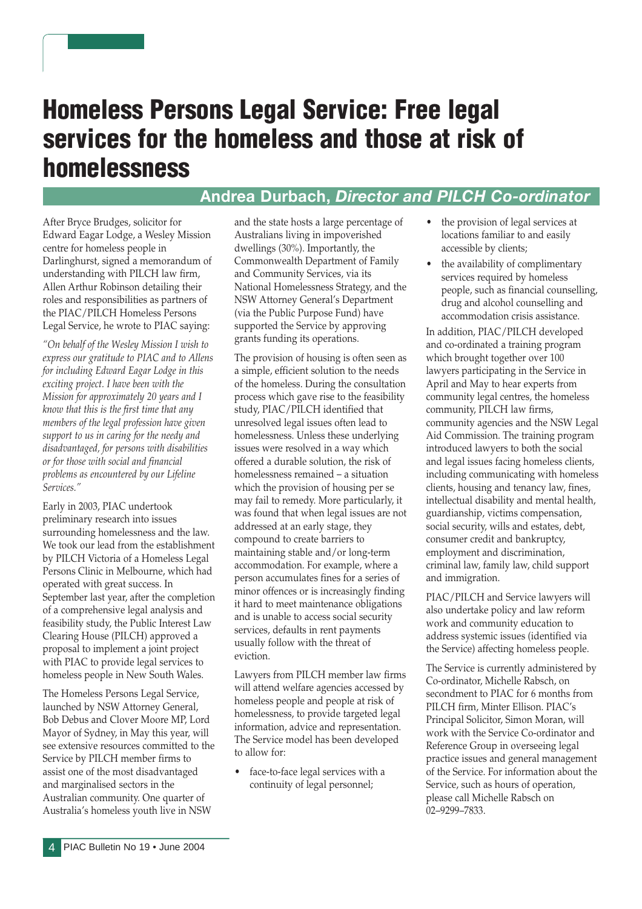# Homeless Persons Legal Service: Free legal services for the homeless and those at risk of homelessness

#### Andrea Durbach, Director and PILCH Co-ordinator

After Bryce Brudges, solicitor for Edward Eagar Lodge, a Wesley Mission centre for homeless people in Darlinghurst, signed a memorandum of understanding with PILCH law firm, Allen Arthur Robinson detailing their roles and responsibilities as partners of the PIAC/PILCH Homeless Persons Legal Service, he wrote to PIAC saying:

"On behalf of the Wesley Mission I wish to express our gratitude to PIAC and to Allens for including Edward Eagar Lodge in this exciting project. I have been with the Mission for approximately 20 years and I know that this is the first time that any members of the legal profession have given support to us in caring for the needy and disadvantaged, for persons with disabilities or for those with social and financial problems as encountered by our Lifeline Services."

Early in 2003, PIAC undertook preliminary research into issues surrounding homelessness and the law. We took our lead from the establishment by PILCH Victoria of a Homeless Legal Persons Clinic in Melbourne, which had operated with great success. In September last year, after the completion of a comprehensive legal analysis and feasibility study, the Public Interest Law Clearing House (PILCH) approved a proposal to implement a joint project with PIAC to provide legal services to homeless people in New South Wales.

The Homeless Persons Legal Service, launched by NSW Attorney General, Bob Debus and Clover Moore MP, Lord Mayor of Sydney, in May this year, will see extensive resources committed to the Service by PILCH member firms to assist one of the most disadvantaged and marginalised sectors in the Australian community. One quarter of Australia's homeless youth live in NSW

and the state hosts a large percentage of Australians living in impoverished dwellings (30%). Importantly, the Commonwealth Department of Family and Community Services, via its National Homelessness Strategy, and the NSW Attorney General's Department (via the Public Purpose Fund) have supported the Service by approving grants funding its operations.

The provision of housing is often seen as a simple, efficient solution to the needs of the homeless. During the consultation process which gave rise to the feasibility study, PIAC/PILCH identified that unresolved legal issues often lead to homelessness. Unless these underlying issues were resolved in a way which offered a durable solution, the risk of homelessness remained – a situation which the provision of housing per se may fail to remedy. More particularly, it was found that when legal issues are not addressed at an early stage, they compound to create barriers to maintaining stable and/or long-term accommodation. For example, where a person accumulates fines for a series of minor offences or is increasingly finding it hard to meet maintenance obligations and is unable to access social security services, defaults in rent payments usually follow with the threat of eviction.

Lawyers from PILCH member law firms will attend welfare agencies accessed by homeless people and people at risk of homelessness, to provide targeted legal information, advice and representation. The Service model has been developed to allow for:

• face-to-face legal services with a continuity of legal personnel;

- the provision of legal services at locations familiar to and easily accessible by clients;
- the availability of complimentary services required by homeless people, such as financial counselling, drug and alcohol counselling and accommodation crisis assistance.

In addition, PIAC/PILCH developed and co-ordinated a training program which brought together over 100 lawyers participating in the Service in April and May to hear experts from community legal centres, the homeless community, PILCH law firms, community agencies and the NSW Legal Aid Commission. The training program introduced lawyers to both the social and legal issues facing homeless clients, including communicating with homeless clients, housing and tenancy law, fines, intellectual disability and mental health, guardianship, victims compensation, social security, wills and estates, debt, consumer credit and bankruptcy, employment and discrimination, criminal law, family law, child support and immigration.

PIAC/PILCH and Service lawyers will also undertake policy and law reform work and community education to address systemic issues (identified via the Service) affecting homeless people.

The Service is currently administered by Co-ordinator, Michelle Rabsch, on secondment to PIAC for 6 months from PILCH firm, Minter Ellison. PIAC's Principal Solicitor, Simon Moran, will work with the Service Co-ordinator and Reference Group in overseeing legal practice issues and general management of the Service. For information about the Service, such as hours of operation, please call Michelle Rabsch on 02–9299–7833.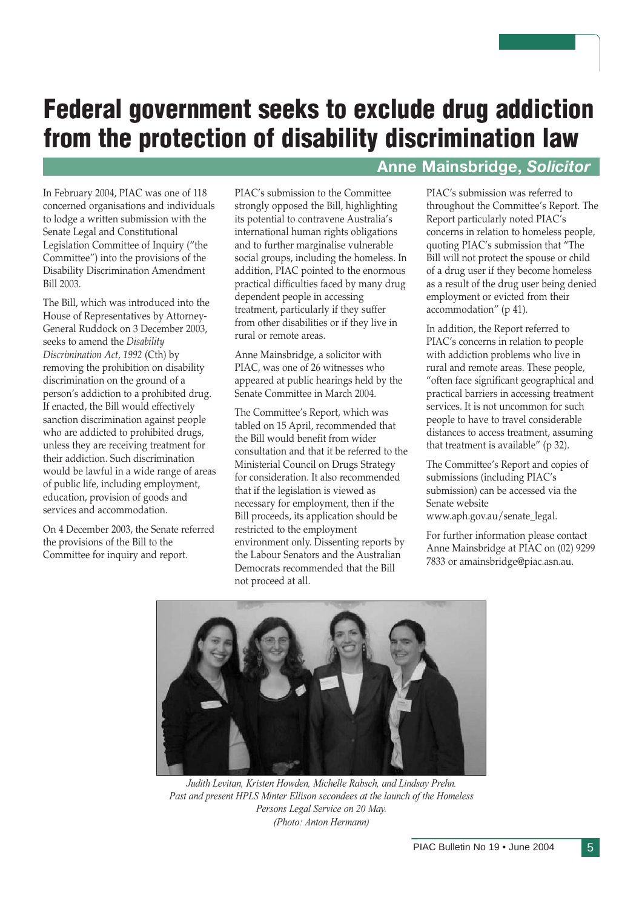# Federal government seeks to exclude drug addiction from the protection of disability discrimination law

In February 2004, PIAC was one of 118 concerned organisations and individuals to lodge a written submission with the Senate Legal and Constitutional Legislation Committee of Inquiry ("the Committee") into the provisions of the Disability Discrimination Amendment Bill 2003.

The Bill, which was introduced into the House of Representatives by Attorney-General Ruddock on 3 December 2003, seeks to amend the Disability Discrimination Act, 1992 (Cth) by removing the prohibition on disability discrimination on the ground of a person's addiction to a prohibited drug. If enacted, the Bill would effectively sanction discrimination against people who are addicted to prohibited drugs, unless they are receiving treatment for their addiction. Such discrimination would be lawful in a wide range of areas of public life, including employment, education, provision of goods and services and accommodation.

On 4 December 2003, the Senate referred the provisions of the Bill to the Committee for inquiry and report.

PIAC's submission to the Committee strongly opposed the Bill, highlighting its potential to contravene Australia's international human rights obligations and to further marginalise vulnerable social groups, including the homeless. In addition, PIAC pointed to the enormous practical difficulties faced by many drug dependent people in accessing treatment, particularly if they suffer from other disabilities or if they live in rural or remote areas.

Anne Mainsbridge, a solicitor with PIAC, was one of 26 witnesses who appeared at public hearings held by the Senate Committee in March 2004.

The Committee's Report, which was tabled on 15 April, recommended that the Bill would benefit from wider consultation and that it be referred to the Ministerial Council on Drugs Strategy for consideration. It also recommended that if the legislation is viewed as necessary for employment, then if the Bill proceeds, its application should be restricted to the employment environment only. Dissenting reports by the Labour Senators and the Australian Democrats recommended that the Bill not proceed at all.

#### Anne Mainsbridge, Solicitor

PIAC's submission was referred to throughout the Committee's Report. The Report particularly noted PIAC's concerns in relation to homeless people, quoting PIAC's submission that "The Bill will not protect the spouse or child of a drug user if they become homeless as a result of the drug user being denied employment or evicted from their accommodation" (p 41).

In addition, the Report referred to PIAC's concerns in relation to people with addiction problems who live in rural and remote areas. These people, "often face significant geographical and practical barriers in accessing treatment services. It is not uncommon for such people to have to travel considerable distances to access treatment, assuming that treatment is available" (p 32).

The Committee's Report and copies of submissions (including PIAC's submission) can be accessed via the Senate website www.aph.gov.au/senate\_legal.

For further information please contact Anne Mainsbridge at PIAC on (02) 9299 7833 or amainsbridge@piac.asn.au.



Judith Levitan, Kristen Howden, Michelle Rabsch, and Lindsay Prehn. Past and present HPLS Minter Ellison secondees at the launch of the Homeless Persons Legal Service on 20 May. (Photo: Anton Hermann)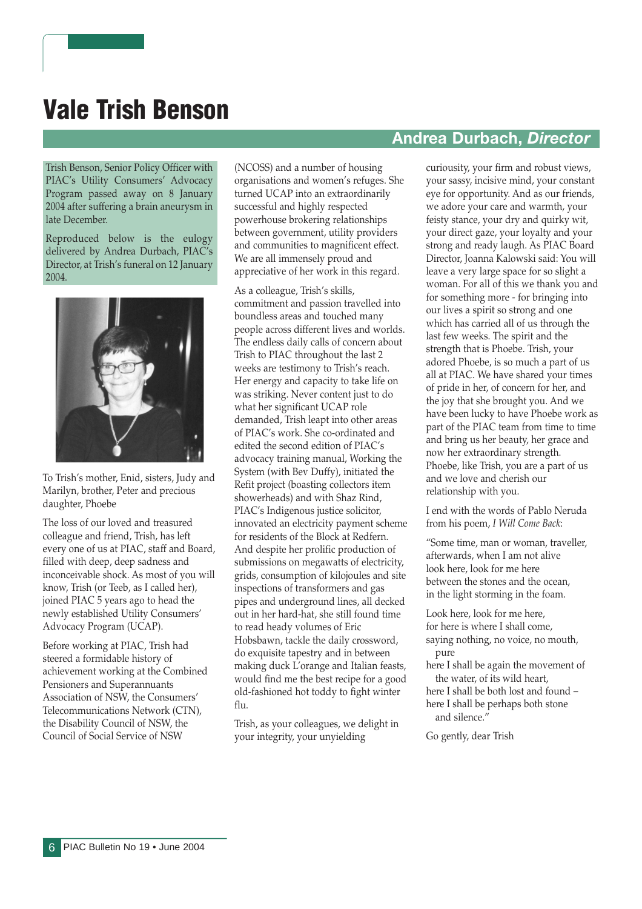# Vale Trish Benson

Trish Benson, Senior Policy Officer with PIAC's Utility Consumers' Advocacy Program passed away on 8 January 2004 after suffering a brain aneurysm in late December.

Reproduced below is the eulogy delivered by Andrea Durbach, PIAC's Director, at Trish's funeral on 12 January 2004.



To Trish's mother, Enid, sisters, Judy and Marilyn, brother, Peter and precious daughter, Phoebe

The loss of our loved and treasured colleague and friend, Trish, has left every one of us at PIAC, staff and Board, filled with deep, deep sadness and inconceivable shock. As most of you will know, Trish (or Teeb, as I called her), joined PIAC 5 years ago to head the newly established Utility Consumers' Advocacy Program (UCAP).

Before working at PIAC, Trish had steered a formidable history of achievement working at the Combined Pensioners and Superannuants Association of NSW, the Consumers' Telecommunications Network (CTN), the Disability Council of NSW, the Council of Social Service of NSW

(NCOSS) and a number of housing organisations and women's refuges. She turned UCAP into an extraordinarily successful and highly respected powerhouse brokering relationships between government, utility providers and communities to magnificent effect. We are all immensely proud and appreciative of her work in this regard.

As a colleague, Trish's skills, commitment and passion travelled into boundless areas and touched many people across different lives and worlds. The endless daily calls of concern about Trish to PIAC throughout the last 2 weeks are testimony to Trish's reach. Her energy and capacity to take life on was striking. Never content just to do what her significant UCAP role demanded, Trish leapt into other areas of PIAC's work. She co-ordinated and edited the second edition of PIAC's advocacy training manual, Working the System (with Bev Duffy), initiated the Refit project (boasting collectors item showerheads) and with Shaz Rind, PIAC's Indigenous justice solicitor, innovated an electricity payment scheme for residents of the Block at Redfern. And despite her prolific production of submissions on megawatts of electricity, grids, consumption of kilojoules and site inspections of transformers and gas pipes and underground lines, all decked out in her hard-hat, she still found time to read heady volumes of Eric Hobsbawn, tackle the daily crossword, do exquisite tapestry and in between making duck L'orange and Italian feasts, would find me the best recipe for a good old-fashioned hot toddy to fight winter flu.

Trish, as your colleagues, we delight in your integrity, your unyielding

#### Andrea Durbach, Director

curiousity, your firm and robust views, your sassy, incisive mind, your constant eye for opportunity. And as our friends, we adore your care and warmth, your feisty stance, your dry and quirky wit, your direct gaze, your loyalty and your strong and ready laugh. As PIAC Board Director, Joanna Kalowski said: You will leave a very large space for so slight a woman. For all of this we thank you and for something more - for bringing into our lives a spirit so strong and one which has carried all of us through the last few weeks. The spirit and the strength that is Phoebe. Trish, your adored Phoebe, is so much a part of us all at PIAC. We have shared your times of pride in her, of concern for her, and the joy that she brought you. And we have been lucky to have Phoebe work as part of the PIAC team from time to time and bring us her beauty, her grace and now her extraordinary strength. Phoebe, like Trish, you are a part of us and we love and cherish our relationship with you.

I end with the words of Pablo Neruda from his poem, I Will Come Back:

"Some time, man or woman, traveller, afterwards, when I am not alive look here, look for me here between the stones and the ocean, in the light storming in the foam.

Look here, look for me here, for here is where I shall come, saying nothing, no voice, no mouth, pure

- here I shall be again the movement of the water, of its wild heart,
- here I shall be both lost and found here I shall be perhaps both stone and silence."

Go gently, dear Trish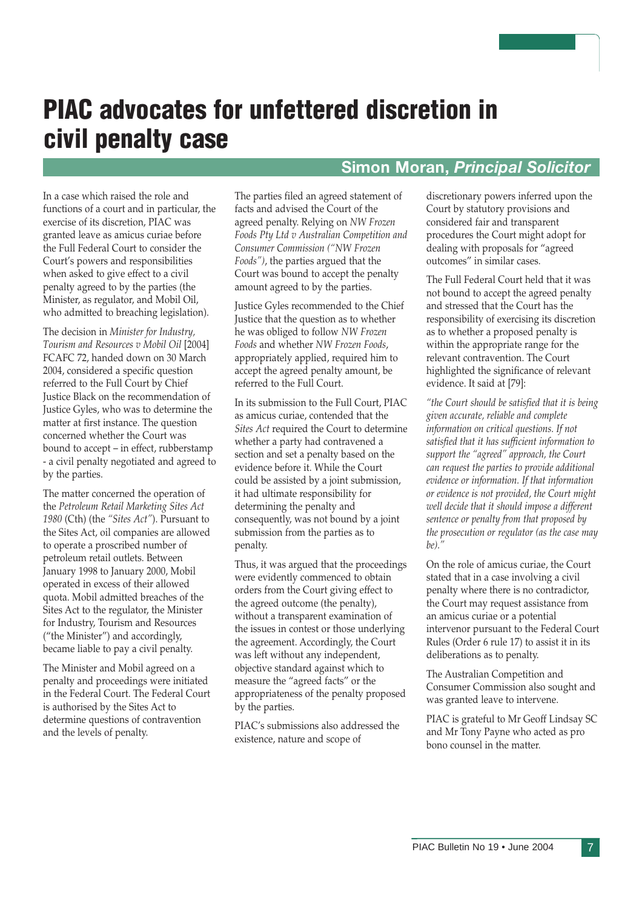# PIAC advocates for unfettered discretion in civil penalty case

#### Simon Moran, Principal Solicitor

In a case which raised the role and functions of a court and in particular, the exercise of its discretion, PIAC was granted leave as amicus curiae before the Full Federal Court to consider the Court's powers and responsibilities when asked to give effect to a civil penalty agreed to by the parties (the Minister, as regulator, and Mobil Oil, who admitted to breaching legislation).

The decision in Minister for Industry, Tourism and Resources v Mobil Oil [2004] FCAFC 72, handed down on 30 March 2004, considered a specific question referred to the Full Court by Chief Justice Black on the recommendation of Justice Gyles, who was to determine the matter at first instance. The question concerned whether the Court was bound to accept – in effect, rubberstamp - a civil penalty negotiated and agreed to by the parties.

The matter concerned the operation of the Petroleum Retail Marketing Sites Act 1980 (Cth) (the "Sites Act"). Pursuant to the Sites Act, oil companies are allowed to operate a proscribed number of petroleum retail outlets. Between January 1998 to January 2000, Mobil operated in excess of their allowed quota. Mobil admitted breaches of the Sites Act to the regulator, the Minister for Industry, Tourism and Resources ("the Minister") and accordingly, became liable to pay a civil penalty.

The Minister and Mobil agreed on a penalty and proceedings were initiated in the Federal Court. The Federal Court is authorised by the Sites Act to determine questions of contravention and the levels of penalty.

The parties filed an agreed statement of facts and advised the Court of the agreed penalty. Relying on NW Frozen Foods Pty Ltd v Australian Competition and Consumer Commission ("NW Frozen Foods"), the parties argued that the Court was bound to accept the penalty amount agreed to by the parties.

Justice Gyles recommended to the Chief Justice that the question as to whether he was obliged to follow NW Frozen Foods and whether NW Frozen Foods, appropriately applied, required him to accept the agreed penalty amount, be referred to the Full Court.

In its submission to the Full Court, PIAC as amicus curiae, contended that the Sites Act required the Court to determine whether a party had contravened a section and set a penalty based on the evidence before it. While the Court could be assisted by a joint submission, it had ultimate responsibility for determining the penalty and consequently, was not bound by a joint submission from the parties as to penalty.

Thus, it was argued that the proceedings were evidently commenced to obtain orders from the Court giving effect to the agreed outcome (the penalty), without a transparent examination of the issues in contest or those underlying the agreement. Accordingly, the Court was left without any independent, objective standard against which to measure the "agreed facts" or the appropriateness of the penalty proposed by the parties.

PIAC's submissions also addressed the existence, nature and scope of

discretionary powers inferred upon the Court by statutory provisions and considered fair and transparent procedures the Court might adopt for dealing with proposals for "agreed outcomes" in similar cases.

The Full Federal Court held that it was not bound to accept the agreed penalty and stressed that the Court has the responsibility of exercising its discretion as to whether a proposed penalty is within the appropriate range for the relevant contravention. The Court highlighted the significance of relevant evidence. It said at [79]:

"the Court should be satisfied that it is being given accurate, reliable and complete information on critical questions. If not satisfied that it has sufficient information to support the "agreed" approach, the Court can request the parties to provide additional evidence or information. If that information or evidence is not provided, the Court might well decide that it should impose a different sentence or penalty from that proposed by the prosecution or regulator (as the case may  $be)$ ."

On the role of amicus curiae, the Court stated that in a case involving a civil penalty where there is no contradictor, the Court may request assistance from an amicus curiae or a potential intervenor pursuant to the Federal Court Rules (Order 6 rule 17) to assist it in its deliberations as to penalty.

The Australian Competition and Consumer Commission also sought and was granted leave to intervene.

PIAC is grateful to Mr Geoff Lindsay SC and Mr Tony Payne who acted as pro bono counsel in the matter.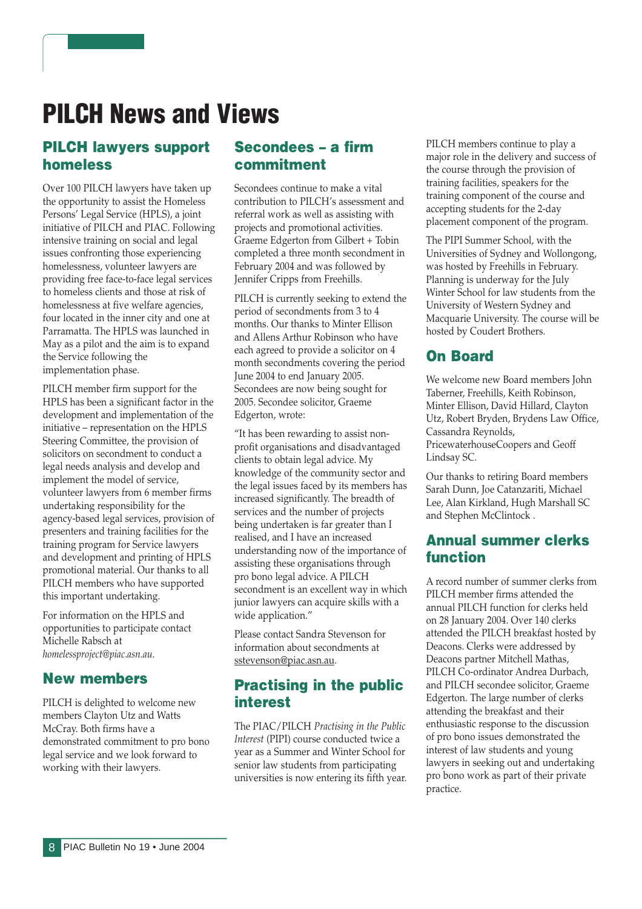# PILCH News and Views

#### PILCH lawyers support homeless

Over 100 PILCH lawyers have taken up the opportunity to assist the Homeless Persons' Legal Service (HPLS), a joint initiative of PILCH and PIAC. Following intensive training on social and legal issues confronting those experiencing homelessness, volunteer lawyers are providing free face-to-face legal services to homeless clients and those at risk of homelessness at five welfare agencies, four located in the inner city and one at Parramatta. The HPLS was launched in May as a pilot and the aim is to expand the Service following the implementation phase.

PILCH member firm support for the HPLS has been a significant factor in the development and implementation of the initiative – representation on the HPLS Steering Committee, the provision of solicitors on secondment to conduct a legal needs analysis and develop and implement the model of service, volunteer lawyers from 6 member firms undertaking responsibility for the agency-based legal services, provision of presenters and training facilities for the training program for Service lawyers and development and printing of HPLS promotional material. Our thanks to all PILCH members who have supported this important undertaking.

For information on the HPLS and opportunities to participate contact Michelle Rabsch at homelessproject@piac.asn.au.

#### New members

PILCH is delighted to welcome new members Clayton Utz and Watts McCray. Both firms have a demonstrated commitment to pro bono legal service and we look forward to working with their lawyers.

#### Secondees – a firm commitment

Secondees continue to make a vital contribution to PILCH's assessment and referral work as well as assisting with projects and promotional activities. Graeme Edgerton from Gilbert + Tobin completed a three month secondment in February 2004 and was followed by Jennifer Cripps from Freehills.

PILCH is currently seeking to extend the period of secondments from 3 to 4 months. Our thanks to Minter Ellison and Allens Arthur Robinson who have each agreed to provide a solicitor on 4 month secondments covering the period June 2004 to end January 2005. Secondees are now being sought for 2005. Secondee solicitor, Graeme Edgerton, wrote:

"It has been rewarding to assist nonprofit organisations and disadvantaged clients to obtain legal advice. My knowledge of the community sector and the legal issues faced by its members has increased significantly. The breadth of services and the number of projects being undertaken is far greater than I realised, and I have an increased understanding now of the importance of assisting these organisations through pro bono legal advice. A PILCH secondment is an excellent way in which junior lawyers can acquire skills with a wide application."

Please contact Sandra Stevenson for information about secondments at sstevenson@piac.asn.au.

#### Practising in the public interest

The PIAC/PILCH Practising in the Public Interest (PIPI) course conducted twice a year as a Summer and Winter School for senior law students from participating universities is now entering its fifth year.

PILCH members continue to play a major role in the delivery and success of the course through the provision of training facilities, speakers for the training component of the course and accepting students for the 2-day placement component of the program.

The PIPI Summer School, with the Universities of Sydney and Wollongong, was hosted by Freehills in February. Planning is underway for the July Winter School for law students from the University of Western Sydney and Macquarie University. The course will be hosted by Coudert Brothers.

#### On Board

We welcome new Board members John Taberner, Freehills, Keith Robinson, Minter Ellison, David Hillard, Clayton Utz, Robert Bryden, Brydens Law Office, Cassandra Reynolds, PricewaterhouseCoopers and Geoff Lindsay SC.

Our thanks to retiring Board members Sarah Dunn, Joe Catanzariti, Michael Lee, Alan Kirkland, Hugh Marshall SC and Stephen McClintock .

#### Annual summer clerks function

A record number of summer clerks from PILCH member firms attended the annual PILCH function for clerks held on 28 January 2004. Over 140 clerks attended the PILCH breakfast hosted by Deacons. Clerks were addressed by Deacons partner Mitchell Mathas, PILCH Co-ordinator Andrea Durbach, and PILCH secondee solicitor, Graeme Edgerton. The large number of clerks attending the breakfast and their enthusiastic response to the discussion of pro bono issues demonstrated the interest of law students and young lawyers in seeking out and undertaking pro bono work as part of their private practice.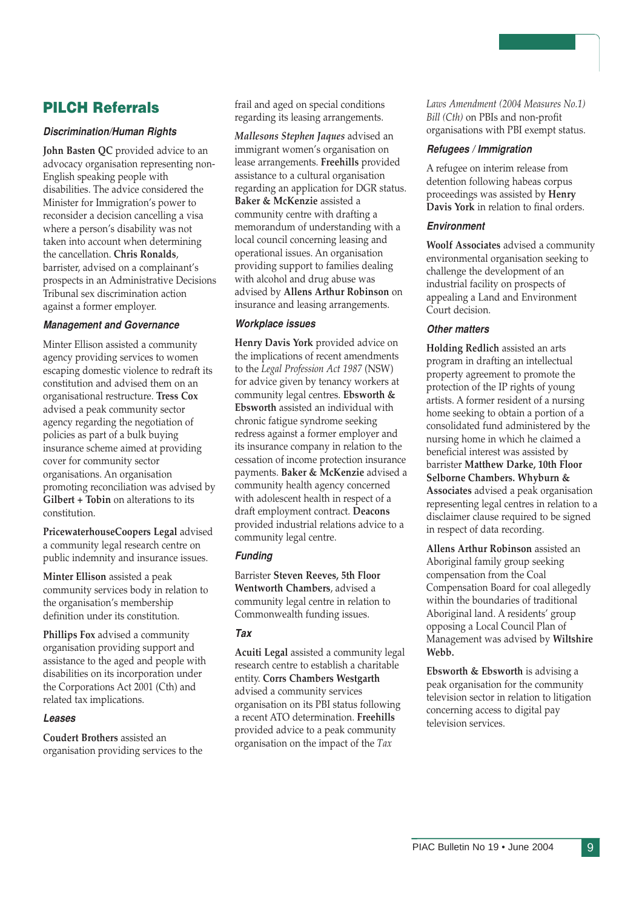#### PILCH Referrals

#### Discrimination/Human Rights

John Basten QC provided advice to an advocacy organisation representing non-English speaking people with disabilities. The advice considered the Minister for Immigration's power to reconsider a decision cancelling a visa where a person's disability was not taken into account when determining the cancellation. Chris Ronalds, barrister, advised on a complainant's prospects in an Administrative Decisions Tribunal sex discrimination action against a former employer.

#### Management and Governance

Minter Ellison assisted a community agency providing services to women escaping domestic violence to redraft its constitution and advised them on an organisational restructure. Tress Cox advised a peak community sector agency regarding the negotiation of policies as part of a bulk buying insurance scheme aimed at providing cover for community sector organisations. An organisation promoting reconciliation was advised by Gilbert + Tobin on alterations to its constitution.

PricewaterhouseCoopers Legal advised a community legal research centre on public indemnity and insurance issues.

Minter Ellison assisted a peak community services body in relation to the organisation's membership definition under its constitution.

Phillips Fox advised a community organisation providing support and assistance to the aged and people with disabilities on its incorporation under the Corporations Act 2001 (Cth) and related tax implications.

#### Leases

Coudert Brothers assisted an organisation providing services to the frail and aged on special conditions regarding its leasing arrangements.

Mallesons Stephen Jaques advised an immigrant women's organisation on lease arrangements. Freehills provided assistance to a cultural organisation regarding an application for DGR status. Baker & McKenzie assisted a community centre with drafting a memorandum of understanding with a local council concerning leasing and operational issues. An organisation providing support to families dealing with alcohol and drug abuse was advised by Allens Arthur Robinson on insurance and leasing arrangements.

#### Workplace issues

Henry Davis York provided advice on the implications of recent amendments to the Legal Profession Act 1987 (NSW) for advice given by tenancy workers at community legal centres. Ebsworth & Ebsworth assisted an individual with chronic fatigue syndrome seeking redress against a former employer and its insurance company in relation to the cessation of income protection insurance payments. Baker & McKenzie advised a community health agency concerned with adolescent health in respect of a draft employment contract. Deacons provided industrial relations advice to a community legal centre.

#### Funding

Barrister Steven Reeves, 5th Floor Wentworth Chambers, advised a community legal centre in relation to Commonwealth funding issues.

#### Tax

Acuiti Legal assisted a community legal research centre to establish a charitable entity. Corrs Chambers Westgarth advised a community services organisation on its PBI status following a recent ATO determination. Freehills provided advice to a peak community organisation on the impact of the Tax

Laws Amendment (2004 Measures No.1) Bill (Cth) on PBIs and non-profit organisations with PBI exempt status.

#### Refugees / Immigration

A refugee on interim release from detention following habeas corpus proceedings was assisted by Henry Davis York in relation to final orders.

#### Environment

Woolf Associates advised a community environmental organisation seeking to challenge the development of an industrial facility on prospects of appealing a Land and Environment Court decision.

#### Other matters

Holding Redlich assisted an arts program in drafting an intellectual property agreement to promote the protection of the IP rights of young artists. A former resident of a nursing home seeking to obtain a portion of a consolidated fund administered by the nursing home in which he claimed a beneficial interest was assisted by barrister Matthew Darke, 10th Floor Selborne Chambers. Whyburn & Associates advised a peak organisation representing legal centres in relation to a disclaimer clause required to be signed in respect of data recording.

Allens Arthur Robinson assisted an Aboriginal family group seeking compensation from the Coal Compensation Board for coal allegedly within the boundaries of traditional Aboriginal land. A residents' group opposing a Local Council Plan of Management was advised by Wiltshire Webb.

Ebsworth & Ebsworth is advising a peak organisation for the community television sector in relation to litigation concerning access to digital pay television services.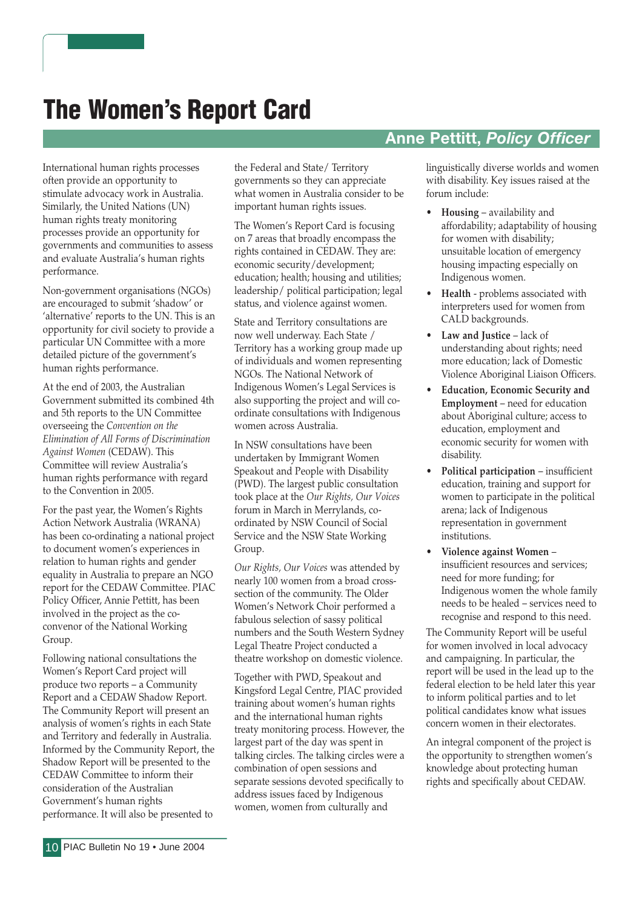# The Women's Report Card

International human rights processes often provide an opportunity to stimulate advocacy work in Australia. Similarly, the United Nations (UN) human rights treaty monitoring processes provide an opportunity for governments and communities to assess and evaluate Australia's human rights performance.

Non-government organisations (NGOs) are encouraged to submit 'shadow' or 'alternative' reports to the UN. This is an opportunity for civil society to provide a particular UN Committee with a more detailed picture of the government's human rights performance.

At the end of 2003, the Australian Government submitted its combined 4th and 5th reports to the UN Committee overseeing the Convention on the Elimination of All Forms of Discrimination Against Women (CEDAW). This Committee will review Australia's human rights performance with regard to the Convention in 2005.

For the past year, the Women's Rights Action Network Australia (WRANA) has been co-ordinating a national project to document women's experiences in relation to human rights and gender equality in Australia to prepare an NGO report for the CEDAW Committee. PIAC Policy Officer, Annie Pettitt, has been involved in the project as the coconvenor of the National Working Group.

Following national consultations the Women's Report Card project will produce two reports – a Community Report and a CEDAW Shadow Report. The Community Report will present an analysis of women's rights in each State and Territory and federally in Australia. Informed by the Community Report, the Shadow Report will be presented to the CEDAW Committee to inform their consideration of the Australian Government's human rights performance. It will also be presented to

the Federal and State/ Territory governments so they can appreciate what women in Australia consider to be important human rights issues.

The Women's Report Card is focusing on 7 areas that broadly encompass the rights contained in CEDAW. They are: economic security/development; education; health; housing and utilities; leadership/ political participation; legal status, and violence against women.

State and Territory consultations are now well underway. Each State / Territory has a working group made up of individuals and women representing NGOs. The National Network of Indigenous Women's Legal Services is also supporting the project and will coordinate consultations with Indigenous women across Australia.

In NSW consultations have been undertaken by Immigrant Women Speakout and People with Disability (PWD). The largest public consultation took place at the Our Rights, Our Voices forum in March in Merrylands, coordinated by NSW Council of Social Service and the NSW State Working Group.

Our Rights, Our Voices was attended by nearly 100 women from a broad crosssection of the community. The Older Women's Network Choir performed a fabulous selection of sassy political numbers and the South Western Sydney Legal Theatre Project conducted a theatre workshop on domestic violence.

Together with PWD, Speakout and Kingsford Legal Centre, PIAC provided training about women's human rights and the international human rights treaty monitoring process. However, the largest part of the day was spent in talking circles. The talking circles were a combination of open sessions and separate sessions devoted specifically to address issues faced by Indigenous women, women from culturally and

#### Anne Pettitt, Policy Officer

linguistically diverse worlds and women with disability. Key issues raised at the forum include:

- Housing availability and affordability; adaptability of housing for women with disability; unsuitable location of emergency housing impacting especially on Indigenous women.
- Health problems associated with interpreters used for women from CALD backgrounds.
- Law and Justice lack of understanding about rights; need more education; lack of Domestic Violence Aboriginal Liaison Officers.
- Education, Economic Security and Employment – need for education about Aboriginal culture; access to education, employment and economic security for women with disability.
- Political participation insufficient education, training and support for women to participate in the political arena; lack of Indigenous representation in government institutions.
- Violence against Women insufficient resources and services; need for more funding; for Indigenous women the whole family needs to be healed – services need to recognise and respond to this need.

The Community Report will be useful for women involved in local advocacy and campaigning. In particular, the report will be used in the lead up to the federal election to be held later this year to inform political parties and to let political candidates know what issues concern women in their electorates.

An integral component of the project is the opportunity to strengthen women's knowledge about protecting human rights and specifically about CEDAW.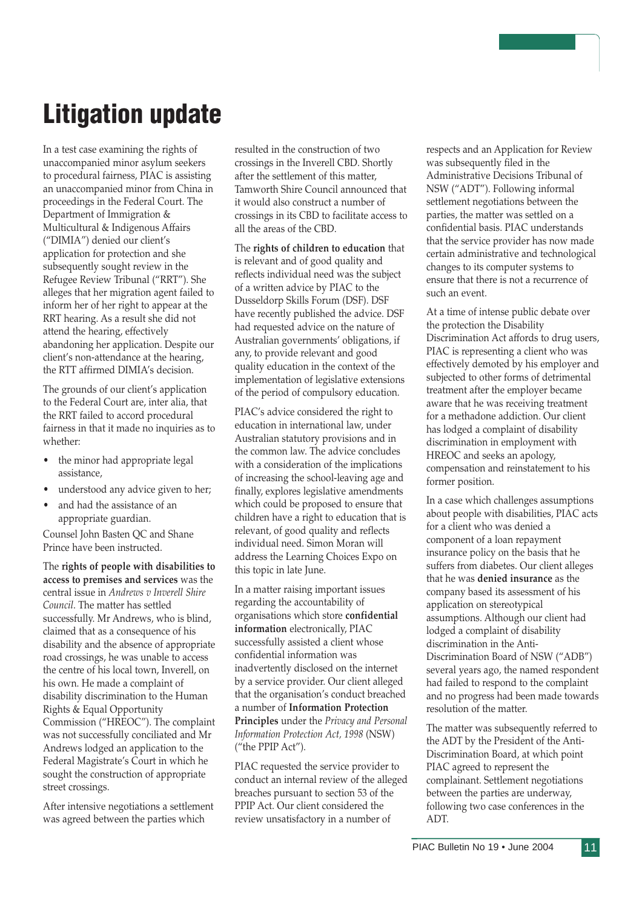# Litigation update

In a test case examining the rights of unaccompanied minor asylum seekers to procedural fairness, PIAC is assisting an unaccompanied minor from China in proceedings in the Federal Court. The Department of Immigration & Multicultural & Indigenous Affairs ("DIMIA") denied our client's application for protection and she subsequently sought review in the Refugee Review Tribunal ("RRT"). She alleges that her migration agent failed to inform her of her right to appear at the RRT hearing. As a result she did not attend the hearing, effectively abandoning her application. Despite our client's non-attendance at the hearing, the RTT affirmed DIMIA's decision.

The grounds of our client's application to the Federal Court are, inter alia, that the RRT failed to accord procedural fairness in that it made no inquiries as to whether:

- the minor had appropriate legal assistance,
- understood any advice given to her;
- and had the assistance of an appropriate guardian.

Counsel John Basten QC and Shane Prince have been instructed.

The rights of people with disabilities to access to premises and services was the central issue in Andrews v Inverell Shire Council. The matter has settled successfully. Mr Andrews, who is blind, claimed that as a consequence of his disability and the absence of appropriate road crossings, he was unable to access the centre of his local town, Inverell, on his own. He made a complaint of disability discrimination to the Human Rights & Equal Opportunity Commission ("HREOC"). The complaint was not successfully conciliated and Mr Andrews lodged an application to the Federal Magistrate's Court in which he sought the construction of appropriate street crossings.

After intensive negotiations a settlement was agreed between the parties which

resulted in the construction of two crossings in the Inverell CBD. Shortly after the settlement of this matter, Tamworth Shire Council announced that it would also construct a number of crossings in its CBD to facilitate access to all the areas of the CBD.

The rights of children to education that is relevant and of good quality and reflects individual need was the subject of a written advice by PIAC to the Dusseldorp Skills Forum (DSF). DSF have recently published the advice. DSF had requested advice on the nature of Australian governments' obligations, if any, to provide relevant and good quality education in the context of the implementation of legislative extensions of the period of compulsory education.

PIAC's advice considered the right to education in international law, under Australian statutory provisions and in the common law. The advice concludes with a consideration of the implications of increasing the school-leaving age and finally, explores legislative amendments which could be proposed to ensure that children have a right to education that is relevant, of good quality and reflects individual need. Simon Moran will address the Learning Choices Expo on this topic in late June.

In a matter raising important issues regarding the accountability of organisations which store confidential information electronically, PIAC successfully assisted a client whose confidential information was inadvertently disclosed on the internet by a service provider. Our client alleged that the organisation's conduct breached a number of Information Protection Principles under the Privacy and Personal Information Protection Act, 1998 (NSW) ("the PPIP Act").

PIAC requested the service provider to conduct an internal review of the alleged breaches pursuant to section 53 of the PPIP Act. Our client considered the review unsatisfactory in a number of

respects and an Application for Review was subsequently filed in the Administrative Decisions Tribunal of NSW ("ADT"). Following informal settlement negotiations between the parties, the matter was settled on a confidential basis. PIAC understands that the service provider has now made certain administrative and technological changes to its computer systems to ensure that there is not a recurrence of such an event.

At a time of intense public debate over the protection the Disability Discrimination Act affords to drug users, PIAC is representing a client who was effectively demoted by his employer and subjected to other forms of detrimental treatment after the employer became aware that he was receiving treatment for a methadone addiction. Our client has lodged a complaint of disability discrimination in employment with HREOC and seeks an apology, compensation and reinstatement to his former position.

In a case which challenges assumptions about people with disabilities, PIAC acts for a client who was denied a component of a loan repayment insurance policy on the basis that he suffers from diabetes. Our client alleges that he was denied insurance as the company based its assessment of his application on stereotypical assumptions. Although our client had lodged a complaint of disability discrimination in the Anti-Discrimination Board of NSW ("ADB") several years ago, the named respondent had failed to respond to the complaint and no progress had been made towards resolution of the matter.

The matter was subsequently referred to the ADT by the President of the Anti-Discrimination Board, at which point PIAC agreed to represent the complainant. Settlement negotiations between the parties are underway, following two case conferences in the ADT.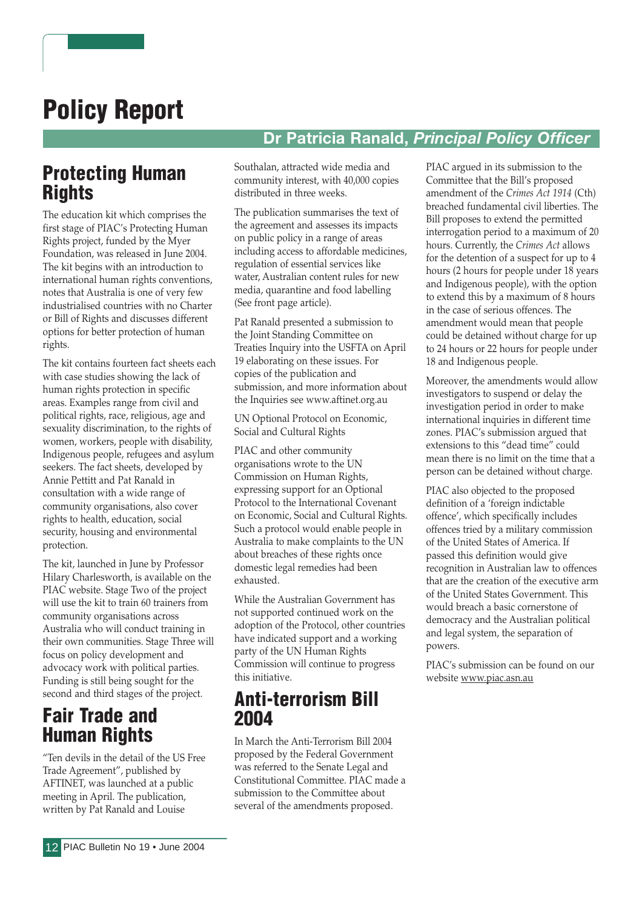# Policy Report

### Dr Patricia Ranald, Principal Policy Officer

### Protecting Human **Rights**

The education kit which comprises the first stage of PIAC's Protecting Human Rights project, funded by the Myer Foundation, was released in June 2004. The kit begins with an introduction to international human rights conventions, notes that Australia is one of very few industrialised countries with no Charter or Bill of Rights and discusses different options for better protection of human rights.

The kit contains fourteen fact sheets each with case studies showing the lack of human rights protection in specific areas. Examples range from civil and political rights, race, religious, age and sexuality discrimination, to the rights of women, workers, people with disability, Indigenous people, refugees and asylum seekers. The fact sheets, developed by Annie Pettitt and Pat Ranald in consultation with a wide range of community organisations, also cover rights to health, education, social security, housing and environmental protection.

The kit, launched in June by Professor Hilary Charlesworth, is available on the PIAC website. Stage Two of the project will use the kit to train 60 trainers from community organisations across Australia who will conduct training in their own communities. Stage Three will focus on policy development and advocacy work with political parties. Funding is still being sought for the second and third stages of the project.

### Fair Trade and Human Rights

"Ten devils in the detail of the US Free Trade Agreement", published by AFTINET, was launched at a public meeting in April. The publication, written by Pat Ranald and Louise

Southalan, attracted wide media and community interest, with 40,000 copies distributed in three weeks.

The publication summarises the text of the agreement and assesses its impacts on public policy in a range of areas including access to affordable medicines, regulation of essential services like water, Australian content rules for new media, quarantine and food labelling (See front page article).

Pat Ranald presented a submission to the Joint Standing Committee on Treaties Inquiry into the USFTA on April 19 elaborating on these issues. For copies of the publication and submission, and more information about the Inquiries see www.aftinet.org.au

UN Optional Protocol on Economic, Social and Cultural Rights

PIAC and other community organisations wrote to the UN Commission on Human Rights, expressing support for an Optional Protocol to the International Covenant on Economic, Social and Cultural Rights. Such a protocol would enable people in Australia to make complaints to the UN about breaches of these rights once domestic legal remedies had been exhausted.

While the Australian Government has not supported continued work on the adoption of the Protocol, other countries have indicated support and a working party of the UN Human Rights Commission will continue to progress this initiative.

### Anti-terrorism Bill 2004

In March the Anti-Terrorism Bill 2004 proposed by the Federal Government was referred to the Senate Legal and Constitutional Committee. PIAC made a submission to the Committee about several of the amendments proposed.

PIAC argued in its submission to the Committee that the Bill's proposed amendment of the Crimes Act 1914 (Cth) breached fundamental civil liberties. The Bill proposes to extend the permitted interrogation period to a maximum of 20 hours. Currently, the Crimes Act allows for the detention of a suspect for up to 4 hours (2 hours for people under 18 years and Indigenous people), with the option to extend this by a maximum of 8 hours in the case of serious offences. The amendment would mean that people could be detained without charge for up to 24 hours or 22 hours for people under 18 and Indigenous people.

Moreover, the amendments would allow investigators to suspend or delay the investigation period in order to make international inquiries in different time zones. PIAC's submission argued that extensions to this "dead time" could mean there is no limit on the time that a person can be detained without charge.

PIAC also objected to the proposed definition of a 'foreign indictable offence', which specifically includes offences tried by a military commission of the United States of America. If passed this definition would give recognition in Australian law to offences that are the creation of the executive arm of the United States Government. This would breach a basic cornerstone of democracy and the Australian political and legal system, the separation of powers.

PIAC's submission can be found on our website www.piac.asn.au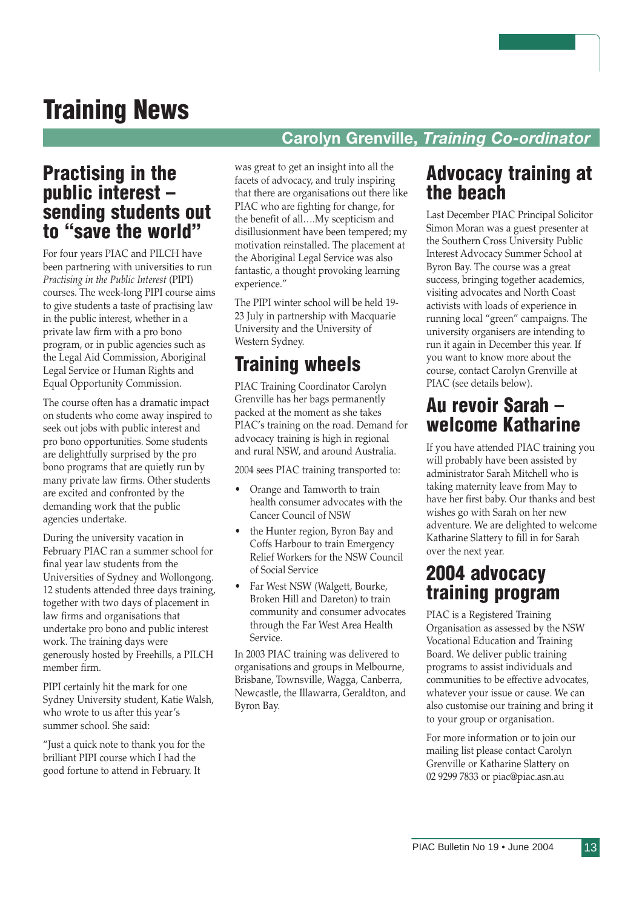# Training News

#### Carolyn Grenville, Training Co-ordinator

### Practising in the public interest – sending students out to "save the world"

For four years PIAC and PILCH have been partnering with universities to run Practising in the Public Interest (PIPI) courses. The week-long PIPI course aims to give students a taste of practising law in the public interest, whether in a private law firm with a pro bono program, or in public agencies such as the Legal Aid Commission, Aboriginal Legal Service or Human Rights and Equal Opportunity Commission.

The course often has a dramatic impact on students who come away inspired to seek out jobs with public interest and pro bono opportunities. Some students are delightfully surprised by the pro bono programs that are quietly run by many private law firms. Other students are excited and confronted by the demanding work that the public agencies undertake.

During the university vacation in February PIAC ran a summer school for final year law students from the Universities of Sydney and Wollongong. 12 students attended three days training, together with two days of placement in law firms and organisations that undertake pro bono and public interest work. The training days were generously hosted by Freehills, a PILCH member firm.

PIPI certainly hit the mark for one Sydney University student, Katie Walsh, who wrote to us after this year's summer school. She said:

"Just a quick note to thank you for the brilliant PIPI course which I had the good fortune to attend in February. It

was great to get an insight into all the facets of advocacy, and truly inspiring that there are organisations out there like PIAC who are fighting for change, for the benefit of all….My scepticism and disillusionment have been tempered; my motivation reinstalled. The placement at the Aboriginal Legal Service was also fantastic, a thought provoking learning experience."

The PIPI winter school will be held 19- 23 July in partnership with Macquarie University and the University of Western Sydney.

### Training wheels

PIAC Training Coordinator Carolyn Grenville has her bags permanently packed at the moment as she takes PIAC's training on the road. Demand for advocacy training is high in regional and rural NSW, and around Australia.

2004 sees PIAC training transported to:

- Orange and Tamworth to train health consumer advocates with the Cancer Council of NSW
- the Hunter region, Byron Bay and Coffs Harbour to train Emergency Relief Workers for the NSW Council of Social Service
- Far West NSW (Walgett, Bourke, Broken Hill and Dareton) to train community and consumer advocates through the Far West Area Health Service.

In 2003 PIAC training was delivered to organisations and groups in Melbourne, Brisbane, Townsville, Wagga, Canberra, Newcastle, the Illawarra, Geraldton, and Byron Bay.

### Advocacy training at the beach

Last December PIAC Principal Solicitor Simon Moran was a guest presenter at the Southern Cross University Public Interest Advocacy Summer School at Byron Bay. The course was a great success, bringing together academics, visiting advocates and North Coast activists with loads of experience in running local "green" campaigns. The university organisers are intending to run it again in December this year. If you want to know more about the course, contact Carolyn Grenville at PIAC (see details below).

### Au revoir Sarah – welcome Katharine

If you have attended PIAC training you will probably have been assisted by administrator Sarah Mitchell who is taking maternity leave from May to have her first baby. Our thanks and best wishes go with Sarah on her new adventure. We are delighted to welcome Katharine Slattery to fill in for Sarah over the next year.

### 2004 advocacy training program

PIAC is a Registered Training Organisation as assessed by the NSW Vocational Education and Training Board. We deliver public training programs to assist individuals and communities to be effective advocates, whatever your issue or cause. We can also customise our training and bring it to your group or organisation.

For more information or to join our mailing list please contact Carolyn Grenville or Katharine Slattery on 02 9299 7833 or piac@piac.asn.au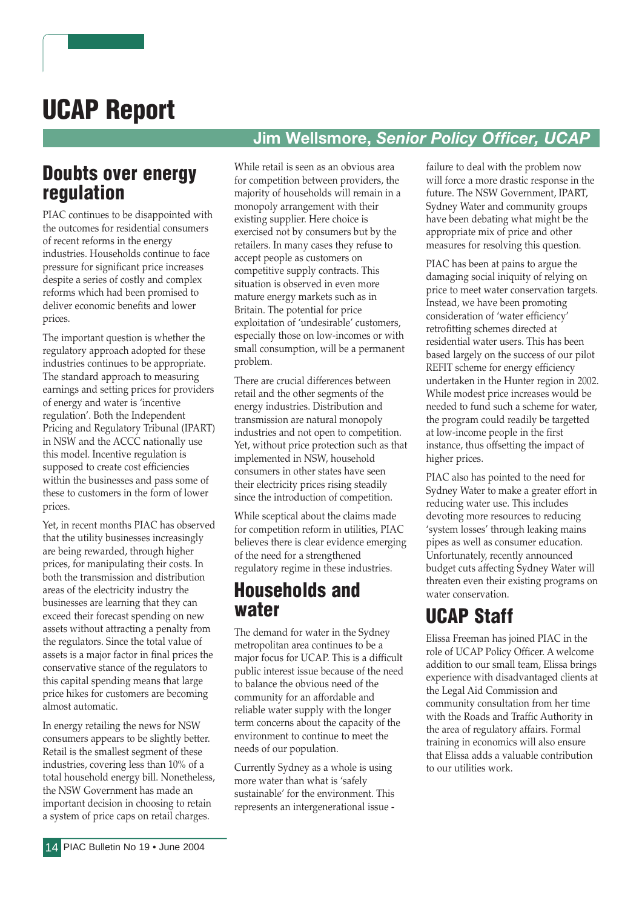# UCAP Report

### Jim Wellsmore, Senior Policy Officer, UCAP

### Doubts over energy regulation

PIAC continues to be disappointed with the outcomes for residential consumers of recent reforms in the energy industries. Households continue to face pressure for significant price increases despite a series of costly and complex reforms which had been promised to deliver economic benefits and lower prices.

The important question is whether the regulatory approach adopted for these industries continues to be appropriate. The standard approach to measuring earnings and setting prices for providers of energy and water is 'incentive regulation'. Both the Independent Pricing and Regulatory Tribunal (IPART) in NSW and the ACCC nationally use this model. Incentive regulation is supposed to create cost efficiencies within the businesses and pass some of these to customers in the form of lower prices.

Yet, in recent months PIAC has observed that the utility businesses increasingly are being rewarded, through higher prices, for manipulating their costs. In both the transmission and distribution areas of the electricity industry the businesses are learning that they can exceed their forecast spending on new assets without attracting a penalty from the regulators. Since the total value of assets is a major factor in final prices the conservative stance of the regulators to this capital spending means that large price hikes for customers are becoming almost automatic.

In energy retailing the news for NSW consumers appears to be slightly better. Retail is the smallest segment of these industries, covering less than 10% of a total household energy bill. Nonetheless, the NSW Government has made an important decision in choosing to retain a system of price caps on retail charges.

While retail is seen as an obvious area for competition between providers, the majority of households will remain in a monopoly arrangement with their existing supplier. Here choice is exercised not by consumers but by the retailers. In many cases they refuse to accept people as customers on competitive supply contracts. This situation is observed in even more mature energy markets such as in Britain. The potential for price exploitation of 'undesirable' customers, especially those on low-incomes or with small consumption, will be a permanent problem.

There are crucial differences between retail and the other segments of the energy industries. Distribution and transmission are natural monopoly industries and not open to competition. Yet, without price protection such as that implemented in NSW, household consumers in other states have seen their electricity prices rising steadily since the introduction of competition.

While sceptical about the claims made for competition reform in utilities, PIAC believes there is clear evidence emerging of the need for a strengthened regulatory regime in these industries.

### Households and water

The demand for water in the Sydney metropolitan area continues to be a major focus for UCAP. This is a difficult public interest issue because of the need to balance the obvious need of the community for an affordable and reliable water supply with the longer term concerns about the capacity of the environment to continue to meet the needs of our population.

Currently Sydney as a whole is using more water than what is 'safely sustainable' for the environment. This represents an intergenerational issue -

failure to deal with the problem now will force a more drastic response in the future. The NSW Government, IPART, Sydney Water and community groups have been debating what might be the appropriate mix of price and other measures for resolving this question.

PIAC has been at pains to argue the damaging social iniquity of relying on price to meet water conservation targets. Instead, we have been promoting consideration of 'water efficiency' retrofitting schemes directed at residential water users. This has been based largely on the success of our pilot REFIT scheme for energy efficiency undertaken in the Hunter region in 2002. While modest price increases would be needed to fund such a scheme for water, the program could readily be targetted at low-income people in the first instance, thus offsetting the impact of higher prices.

PIAC also has pointed to the need for Sydney Water to make a greater effort in reducing water use. This includes devoting more resources to reducing 'system losses' through leaking mains pipes as well as consumer education. Unfortunately, recently announced budget cuts affecting Sydney Water will threaten even their existing programs on water conservation.

# UCAP Staff

Elissa Freeman has joined PIAC in the role of UCAP Policy Officer. A welcome addition to our small team, Elissa brings experience with disadvantaged clients at the Legal Aid Commission and community consultation from her time with the Roads and Traffic Authority in the area of regulatory affairs. Formal training in economics will also ensure that Elissa adds a valuable contribution to our utilities work.